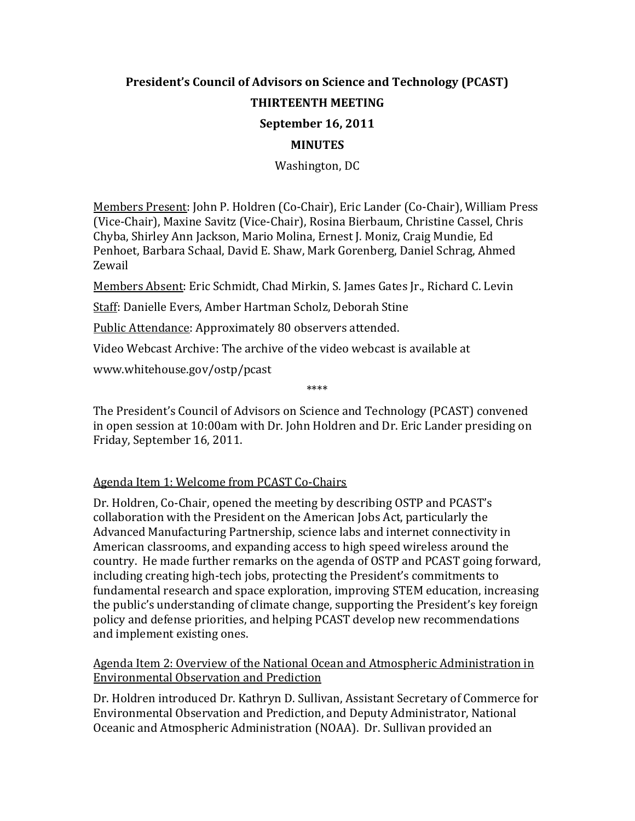### **President's Council of Advisors on Science and Technology (PCAST) THIRTEENTH MEETING September 16, 2011**

# **MINUTES**

## Washington, DC

Members Present: John P. Holdren (Co-Chair), Eric Lander (Co-Chair), William Press (Vice-Chair), Maxine Savitz (Vice-Chair), Rosina Bierbaum, Christine Cassel, Chris Chyba, Shirley Ann Jackson, Mario Molina, Ernest J. Moniz, Craig Mundie, Ed Penhoet, Barbara Schaal, David E. Shaw, Mark Gorenberg, Daniel Schrag, Ahmed Zewail

Members Absent: Eric Schmidt, Chad Mirkin, S. James Gates Jr., Richard C. Levin

Staff: Danielle Evers, Amber Hartman Scholz, Deborah Stine

Public Attendance: Approximately 80 observers attended.

Video Webcast Archive: The archive of the video webcast is available at

www.whitehouse.gov/ostp/pcast

The President's Council of Advisors on Science and Technology (PCAST) convened in open session at 10:00am with Dr. John Holdren and Dr. Eric Lander presiding on Friday, September 16, 2011.

\*\*\*\*

#### Agenda Item 1: Welcome from PCAST Co-Chairs

Dr. Holdren, Co-Chair, opened the meeting by describing OSTP and PCAST's collaboration with the President on the American Jobs Act, particularly the Advanced Manufacturing Partnership, science labs and internet connectivity in American classrooms, and expanding access to high speed wireless around the country. He made further remarks on the agenda of OSTP and PCAST going forward, including creating high-tech jobs, protecting the President's commitments to fundamental research and space exploration, improving STEM education, increasing the public's understanding of climate change, supporting the President's key foreign policy and defense priorities, and helping PCAST develop new recommendations and implement existing ones.

#### Agenda Item 2: Overview of the National Ocean and Atmospheric Administration in Environmental Observation and Prediction

Dr. Holdren introduced Dr. Kathryn D. Sullivan, Assistant Secretary of Commerce for Environmental Observation and Prediction, and Deputy Administrator, National Oceanic and Atmospheric Administration (NOAA). Dr. Sullivan provided an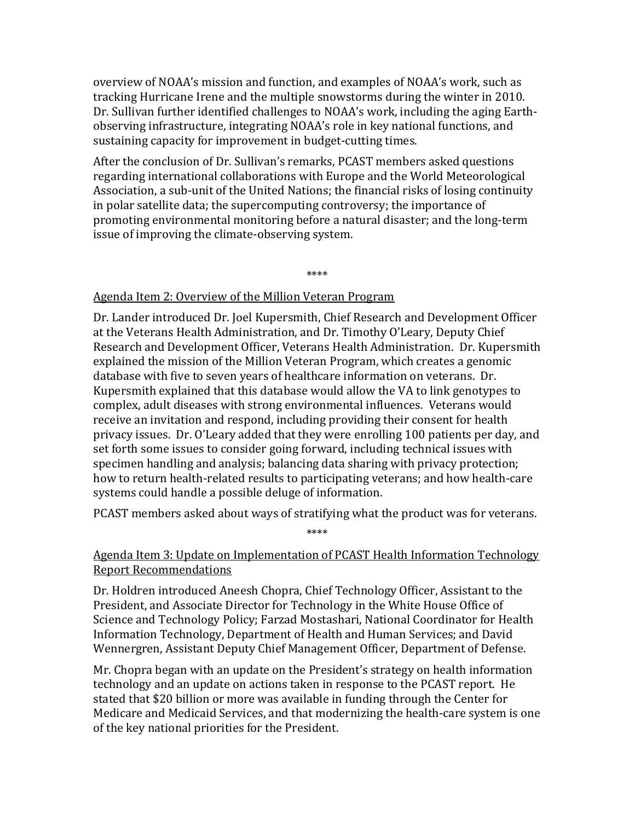overview of NOAA's mission and function, and examples of NOAA's work, such as tracking Hurricane Irene and the multiple snowstorms during the winter in 2010. Dr. Sullivan further identified challenges to NOAA's work, including the aging Earthobserving infrastructure, integrating NOAA's role in key national functions, and sustaining capacity for improvement in budget-cutting times.

After the conclusion of Dr. Sullivan's remarks, PCAST members asked questions regarding international collaborations with Europe and the World Meteorological Association, a sub-unit of the United Nations; the financial risks of losing continuity in polar satellite data; the supercomputing controversy; the importance of promoting environmental monitoring before a natural disaster; and the long-term issue of improving the climate-observing system.

\*\*\*\*

#### Agenda Item 2: Overview of the Million Veteran Program

Dr. Lander introduced Dr. Joel Kupersmith, Chief Research and Development Officer at the Veterans Health Administration, and Dr. Timothy O'Leary, Deputy Chief Research and Development Officer, Veterans Health Administration. Dr. Kupersmith explained the mission of the Million Veteran Program, which creates a genomic database with five to seven years of healthcare information on veterans. Dr. Kupersmith explained that this database would allow the VA to link genotypes to complex, adult diseases with strong environmental influences. Veterans would receive an invitation and respond, including providing their consent for health privacy issues. Dr. O'Leary added that they were enrolling 100 patients per day, and set forth some issues to consider going forward, including technical issues with specimen handling and analysis; balancing data sharing with privacy protection; how to return health-related results to participating veterans; and how health-care systems could handle a possible deluge of information.

PCAST members asked about ways of stratifying what the product was for veterans. \*\*\*\*

#### Agenda Item 3: Update on Implementation of PCAST Health Information Technology Report Recommendations

Dr. Holdren introduced Aneesh Chopra, Chief Technology Officer, Assistant to the President, and Associate Director for Technology in the White House Office of Science and Technology Policy; Farzad Mostashari, National Coordinator for Health Information Technology, Department of Health and Human Services; and David Wennergren, Assistant Deputy Chief Management Officer, Department of Defense.

Mr. Chopra began with an update on the President's strategy on health information technology and an update on actions taken in response to the PCAST report. He stated that \$20 billion or more was available in funding through the Center for Medicare and Medicaid Services, and that modernizing the health-care system is one of the key national priorities for the President.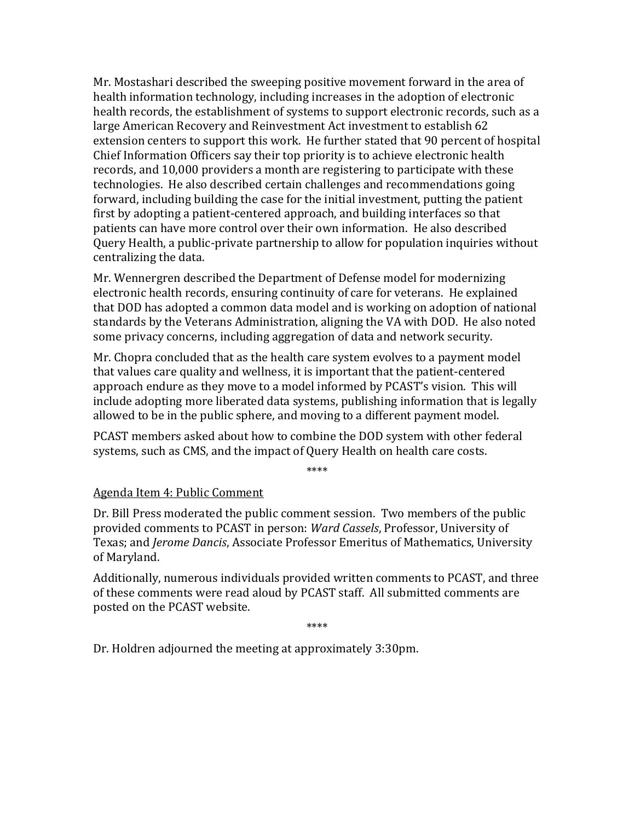Mr. Mostashari described the sweeping positive movement forward in the area of health information technology, including increases in the adoption of electronic health records, the establishment of systems to support electronic records, such as a large American Recovery and Reinvestment Act investment to establish 62 extension centers to support this work. He further stated that 90 percent of hospital Chief Information Officers say their top priority is to achieve electronic health records, and 10,000 providers a month are registering to participate with these technologies. He also described certain challenges and recommendations going forward, including building the case for the initial investment, putting the patient first by adopting a patient-centered approach, and building interfaces so that patients can have more control over their own information. He also described Query Health, a public-private partnership to allow for population inquiries without centralizing the data.

Mr. Wennergren described the Department of Defense model for modernizing electronic health records, ensuring continuity of care for veterans. He explained that DOD has adopted a common data model and is working on adoption of national standards by the Veterans Administration, aligning the VA with DOD. He also noted some privacy concerns, including aggregation of data and network security.

Mr. Chopra concluded that as the health care system evolves to a payment model that values care quality and wellness, it is important that the patient-centered approach endure as they move to a model informed by PCAST's vision. This will include adopting more liberated data systems, publishing information that is legally allowed to be in the public sphere, and moving to a different payment model.

PCAST members asked about how to combine the DOD system with other federal systems, such as CMS, and the impact of Query Health on health care costs.

\*\*\*\*

#### Agenda Item 4: Public Comment

Dr. Bill Press moderated the public comment session. Two members of the public provided comments to PCAST in person: *Ward Cassels*, Professor, University of Texas; and *Jerome Dancis*, Associate Professor Emeritus of Mathematics, University of Maryland.

Additionally, numerous individuals provided written comments to PCAST, and three of these comments were read aloud by PCAST staff. All submitted comments are posted on the PCAST website.

\*\*\*\*

Dr. Holdren adjourned the meeting at approximately 3:30pm.